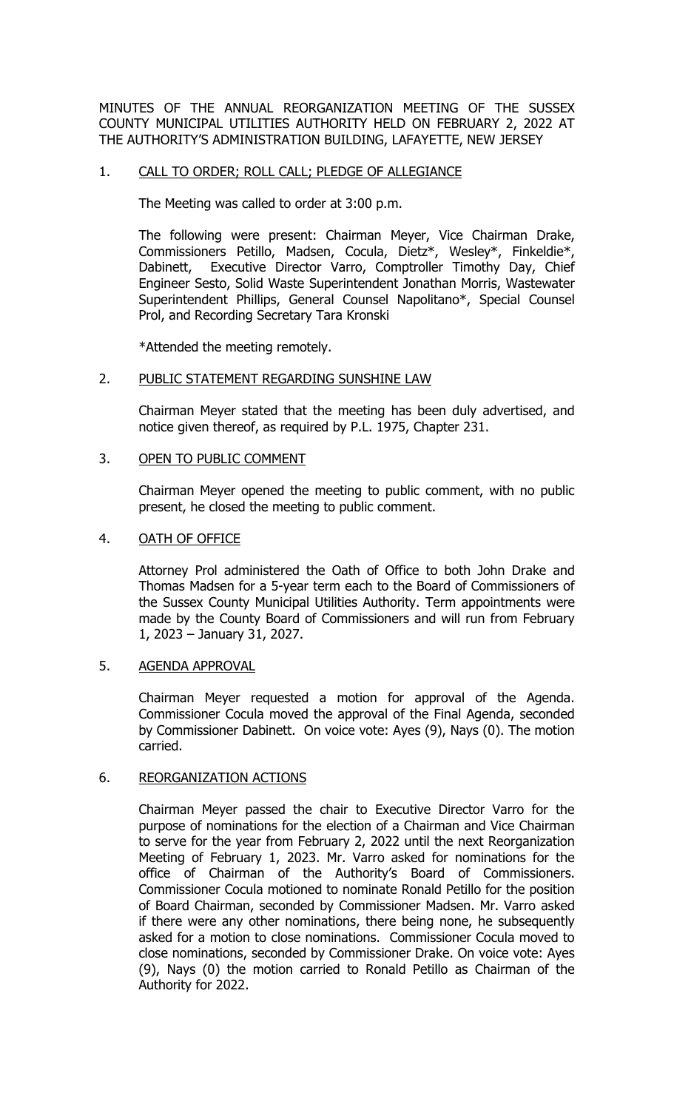MINUTES OF THE ANNUAL REORGANIZATION MEETING OF THE SUSSEX COUNTY MUNICIPAL UTILITIES AUTHORITY HELD ON FEBRUARY 2, 2022 AT THE AUTHORITY'S ADMINISTRATION BUILDING, LAFAYETTE, NEW JERSEY

## 1. CALL TO ORDER; ROLL CALL; PLEDGE OF ALLEGIANCE

The Meeting was called to order at 3:00 p.m.

The following were present: Chairman Meyer, Vice Chairman Drake, Commissioners Petillo, Madsen, Cocula, Dietz\*, Wesley\*, Finkeldie\*,<br>Dabinett, Executive Director Varro, Comptroller Timothy Day, Chief Executive Director Varro, Comptroller Timothy Day, Chief Engineer Sesto, Solid Waste Superintendent Jonathan Morris, Wastewater Superintendent Phillips, General Counsel Napolitano\*, Special Counsel Prol, and Recording Secretary Tara Kronski

\*Attended the meeting remotely.

#### 2. PUBLIC STATEMENT REGARDING SUNSHINE LAW

Chairman Meyer stated that the meeting has been duly advertised, and notice given thereof, as required by P.L. 1975, Chapter 231.

#### 3. OPEN TO PUBLIC COMMENT

Chairman Meyer opened the meeting to public comment, with no public present, he closed the meeting to public comment.

#### 4. OATH OF OFFICE

Attorney Prol administered the Oath of Office to both John Drake and Thomas Madsen for a 5-year term each to the Board of Commissioners of the Sussex County Municipal Utilities Authority. Term appointments were made by the County Board of Commissioners and will run from February 1, 2023 – January 31, 2027.

## 5. AGENDA APPROVAL

Chairman Meyer requested a motion for approval of the Agenda. Commissioner Cocula moved the approval of the Final Agenda, seconded by Commissioner Dabinett. On voice vote: Ayes (9), Nays (0). The motion carried.

## 6. REORGANIZATION ACTIONS

Chairman Meyer passed the chair to Executive Director Varro for the purpose of nominations for the election of a Chairman and Vice Chairman to serve for the year from February 2, 2022 until the next Reorganization Meeting of February 1, 2023. Mr. Varro asked for nominations for the office of Chairman of the Authority's Board of Commissioners. Commissioner Cocula motioned to nominate Ronald Petillo for the position of Board Chairman, seconded by Commissioner Madsen. Mr. Varro asked if there were any other nominations, there being none, he subsequently asked for a motion to close nominations. Commissioner Cocula moved to close nominations, seconded by Commissioner Drake. On voice vote: Ayes (9), Nays (0) the motion carried to Ronald Petillo as Chairman of the Authority for 2022.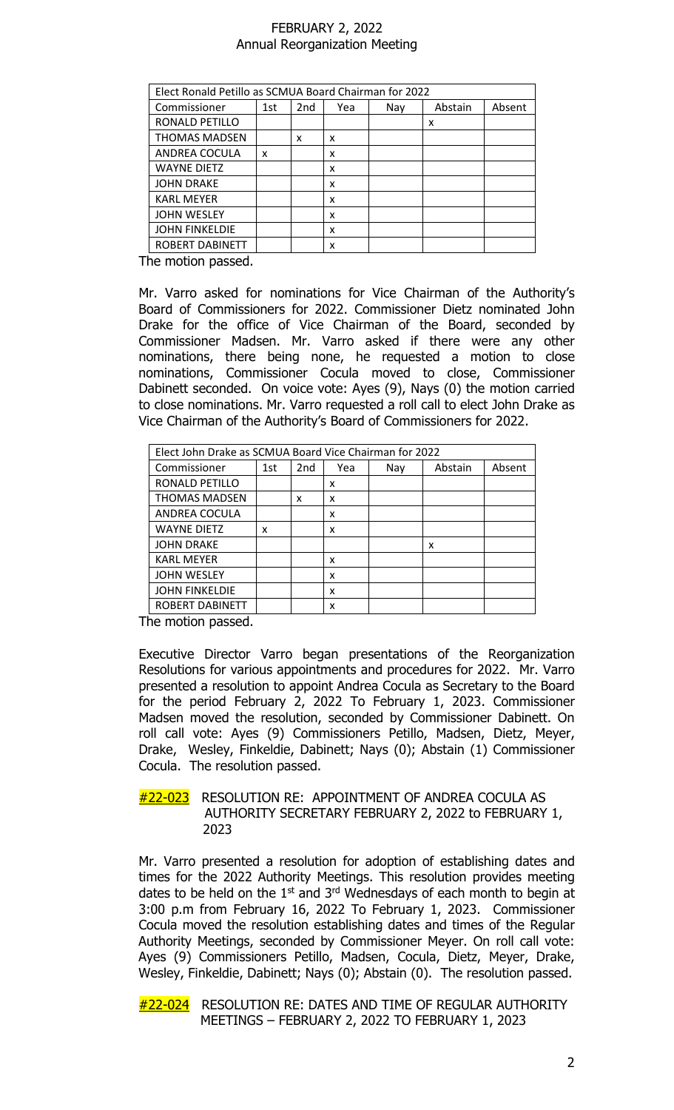| Elect Ronald Petillo as SCMUA Board Chairman for 2022 |     |     |     |     |         |        |  |
|-------------------------------------------------------|-----|-----|-----|-----|---------|--------|--|
| Commissioner                                          | 1st | 2nd | Yea | Nay | Abstain | Absent |  |
| RONALD PETILLO                                        |     |     |     |     | x       |        |  |
| <b>THOMAS MADSEN</b>                                  |     | x   | x   |     |         |        |  |
| ANDREA COCULA                                         | x   |     | x   |     |         |        |  |
| <b>WAYNE DIETZ</b>                                    |     |     | x   |     |         |        |  |
| <b>JOHN DRAKE</b>                                     |     |     | x   |     |         |        |  |
| <b>KARL MEYER</b>                                     |     |     | x   |     |         |        |  |
| <b>JOHN WESLEY</b>                                    |     |     | x   |     |         |        |  |
| <b>JOHN FINKELDIE</b>                                 |     |     | x   |     |         |        |  |
| ROBERT DABINETT                                       |     |     | x   |     |         |        |  |

The motion passed.

Mr. Varro asked for nominations for Vice Chairman of the Authority's Board of Commissioners for 2022. Commissioner Dietz nominated John Drake for the office of Vice Chairman of the Board, seconded by Commissioner Madsen. Mr. Varro asked if there were any other nominations, there being none, he requested a motion to close nominations, Commissioner Cocula moved to close, Commissioner Dabinett seconded. On voice vote: Ayes (9), Nays (0) the motion carried to close nominations. Mr. Varro requested a roll call to elect John Drake as Vice Chairman of the Authority's Board of Commissioners for 2022.

| Elect John Drake as SCMUA Board Vice Chairman for 2022 |     |                 |     |     |         |        |  |
|--------------------------------------------------------|-----|-----------------|-----|-----|---------|--------|--|
| Commissioner                                           | 1st | 2 <sub>nd</sub> | Yea | Nay | Abstain | Absent |  |
| RONALD PETILLO                                         |     |                 | x   |     |         |        |  |
| <b>THOMAS MADSEN</b>                                   |     | x               | x   |     |         |        |  |
| ANDREA COCULA                                          |     |                 | x   |     |         |        |  |
| <b>WAYNE DIETZ</b>                                     | x   |                 | x   |     |         |        |  |
| <b>JOHN DRAKE</b>                                      |     |                 |     |     | x       |        |  |
| <b>KARL MEYER</b>                                      |     |                 | x   |     |         |        |  |
| <b>JOHN WESLEY</b>                                     |     |                 | x   |     |         |        |  |
| <b>JOHN FINKELDIE</b>                                  |     |                 | x   |     |         |        |  |
| ROBERT DABINETT                                        |     |                 | x   |     |         |        |  |

The motion passed.

Executive Director Varro began presentations of the Reorganization Resolutions for various appointments and procedures for 2022. Mr. Varro presented a resolution to appoint Andrea Cocula as Secretary to the Board for the period February 2, 2022 To February 1, 2023. Commissioner Madsen moved the resolution, seconded by Commissioner Dabinett. On roll call vote: Ayes (9) Commissioners Petillo, Madsen, Dietz, Meyer, Drake, Wesley, Finkeldie, Dabinett; Nays (0); Abstain (1) Commissioner Cocula. The resolution passed.

## #22-023 RESOLUTION RE: APPOINTMENT OF ANDREA COCULA AS AUTHORITY SECRETARY FEBRUARY 2, 2022 to FEBRUARY 1, 2023

Mr. Varro presented a resolution for adoption of establishing dates and times for the 2022 Authority Meetings. This resolution provides meeting dates to be held on the 1<sup>st</sup> and 3<sup>rd</sup> Wednesdays of each month to begin at 3:00 p.m from February 16, 2022 To February 1, 2023. Commissioner Cocula moved the resolution establishing dates and times of the Regular Authority Meetings, seconded by Commissioner Meyer. On roll call vote: Ayes (9) Commissioners Petillo, Madsen, Cocula, Dietz, Meyer, Drake, Wesley, Finkeldie, Dabinett; Nays (0); Abstain (0). The resolution passed.

#22-024 RESOLUTION RE: DATES AND TIME OF REGULAR AUTHORITY MEETINGS – FEBRUARY 2, 2022 TO FEBRUARY 1, 2023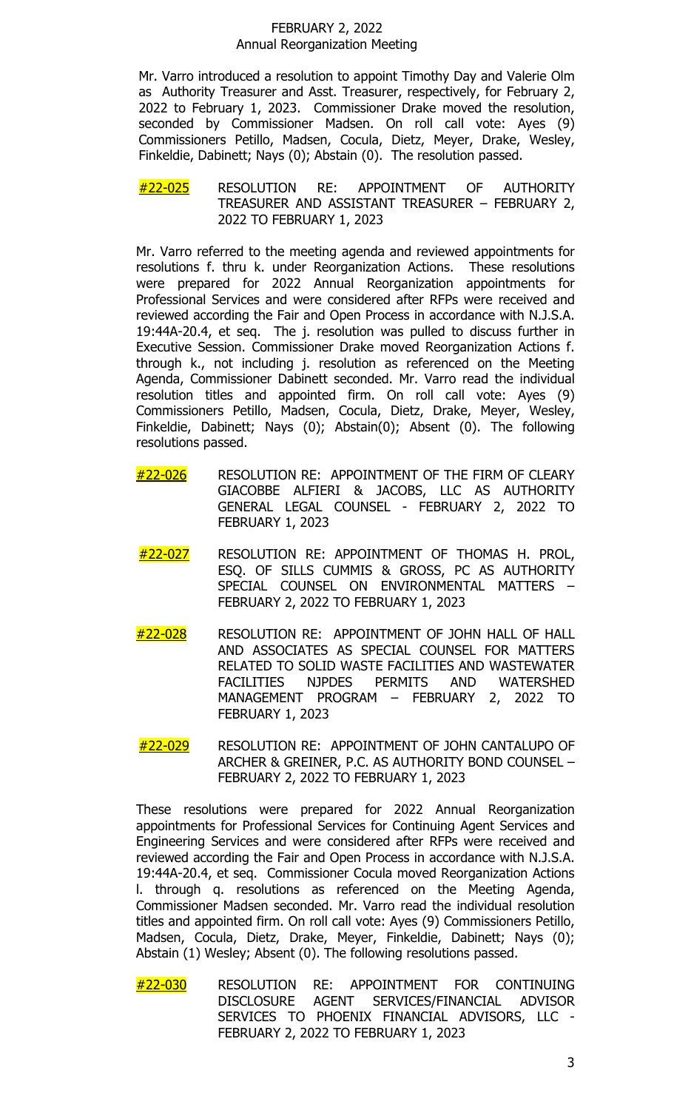Mr. Varro introduced a resolution to appoint Timothy Day and Valerie Olm as Authority Treasurer and Asst. Treasurer, respectively, for February 2, 2022 to February 1, 2023. Commissioner Drake moved the resolution, seconded by Commissioner Madsen. On roll call vote: Ayes (9) Commissioners Petillo, Madsen, Cocula, Dietz, Meyer, Drake, Wesley, Finkeldie, Dabinett; Nays (0); Abstain (0). The resolution passed.

#### #22-025 RESOLUTION RE: APPOINTMENT OF AUTHORITY TREASURER AND ASSISTANT TREASURER – FEBRUARY 2, 2022 TO FEBRUARY 1, 2023

Mr. Varro referred to the meeting agenda and reviewed appointments for resolutions f. thru k. under Reorganization Actions. These resolutions resolutions f. thru k. under Reorganization Actions. were prepared for 2022 Annual Reorganization appointments for Professional Services and were considered after RFPs were received and reviewed according the Fair and Open Process in accordance with N.J.S.A. 19:44A-20.4, et seq. The j. resolution was pulled to discuss further in Executive Session. Commissioner Drake moved Reorganization Actions f. through k., not including j. resolution as referenced on the Meeting Agenda, Commissioner Dabinett seconded. Mr. Varro read the individual resolution titles and appointed firm. On roll call vote: Ayes (9) Commissioners Petillo, Madsen, Cocula, Dietz, Drake, Meyer, Wesley, Finkeldie, Dabinett; Nays (0); Abstain(0); Absent (0). The following resolutions passed.

- #22-026 RESOLUTION RE: APPOINTMENT OF THE FIRM OF CLEARY GIACOBBE ALFIERI & JACOBS, LLC AS AUTHORITY GENERAL LEGAL COUNSEL - FEBRUARY 2, 2022 TO FEBRUARY 1, 2023
- #22-027 RESOLUTION RE: APPOINTMENT OF THOMAS H. PROL, ESQ. OF SILLS CUMMIS & GROSS, PC AS AUTHORITY SPECIAL COUNSEL ON ENVIRONMENTAL MATTERS – FEBRUARY 2, 2022 TO FEBRUARY 1, 2023
- #22-028 RESOLUTION RE: APPOINTMENT OF JOHN HALL OF HALL AND ASSOCIATES AS SPECIAL COUNSEL FOR MATTERS RELATED TO SOLID WASTE FACILITIES AND WASTEWATER<br>FACILITIES NJPDES PERMITS AND WATERSHED **WATERSHED** MANAGEMENT PROGRAM – FEBRUARY 2, 2022 TO FEBRUARY 1, 2023
- #22-029 RESOLUTION RE: APPOINTMENT OF JOHN CANTALUPO OF ARCHER & GREINER, P.C. AS AUTHORITY BOND COUNSEL – FEBRUARY 2, 2022 TO FEBRUARY 1, 2023

These resolutions were prepared for 2022 Annual Reorganization appointments for Professional Services for Continuing Agent Services and Engineering Services and were considered after RFPs were received and reviewed according the Fair and Open Process in accordance with N.J.S.A. 19:44A-20.4, et seq. Commissioner Cocula moved Reorganization Actions l. through q. resolutions as referenced on the Meeting Agenda, Commissioner Madsen seconded. Mr. Varro read the individual resolution titles and appointed firm. On roll call vote: Ayes (9) Commissioners Petillo, Madsen, Cocula, Dietz, Drake, Meyer, Finkeldie, Dabinett; Nays (0); Abstain (1) Wesley; Absent (0). The following resolutions passed.

<u>#22-030</u> RESOLUTION RE: APPOINTMENT FOR CONTINUING<br>DISCLOSURE AGENT SERVICES/FINANCIAL ADVISOR AGENT SERVICES/FINANCIAL ADVISOR SERVICES TO PHOENIX FINANCIAL ADVISORS, LLC - FEBRUARY 2, 2022 TO FEBRUARY 1, 2023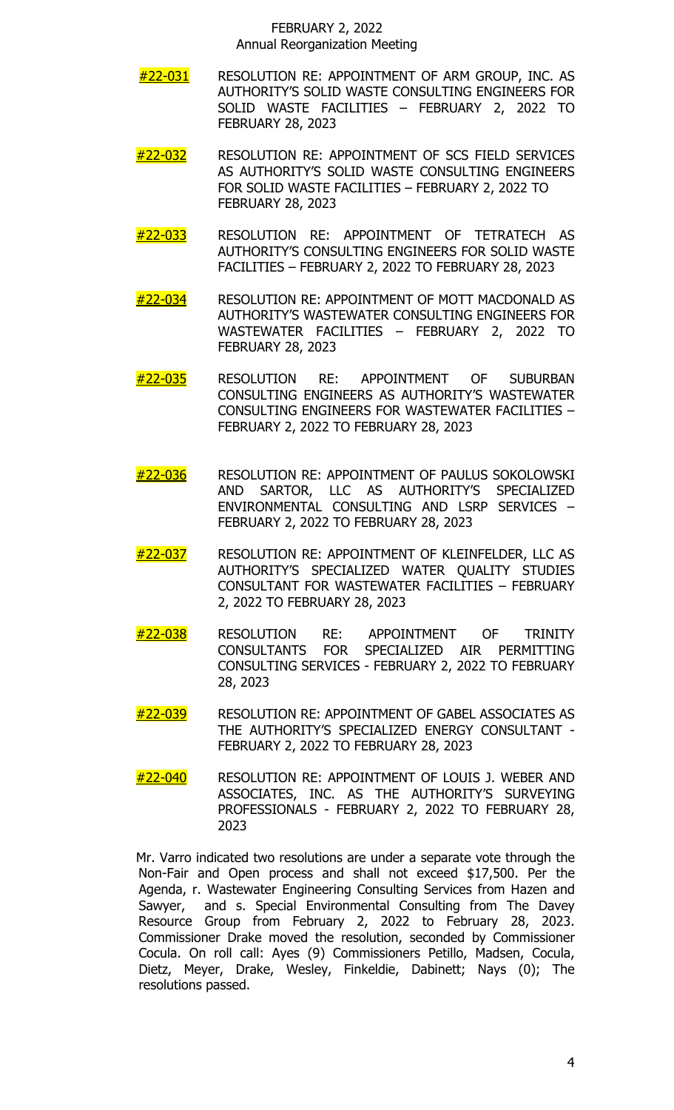- #22-031 RESOLUTION RE: APPOINTMENT OF ARM GROUP, INC. AS AUTHORITY'S SOLID WASTE CONSULTING ENGINEERS FOR SOLID WASTE FACILITIES – FEBRUARY 2, 2022 TO FEBRUARY 28, 2023
- #22-032 RESOLUTION RE: APPOINTMENT OF SCS FIELD SERVICES AS AUTHORITY'S SOLID WASTE CONSULTING ENGINEERS FOR SOLID WASTE FACILITIES – FEBRUARY 2, 2022 TO FEBRUARY 28, 2023
- #22-033 RESOLUTION RE: APPOINTMENT OF TETRATECH AS AUTHORITY'S CONSULTING ENGINEERS FOR SOLID WASTE FACILITIES – FEBRUARY 2, 2022 TO FEBRUARY 28, 2023
- #22-034 RESOLUTION RE: APPOINTMENT OF MOTT MACDONALD AS AUTHORITY'S WASTEWATER CONSULTING ENGINEERS FOR WASTEWATER FACILITIES – FEBRUARY 2, 2022 TO FEBRUARY 28, 2023
- #22-035 RESOLUTION RE: APPOINTMENT OF SUBURBAN CONSULTING ENGINEERS AS AUTHORITY'S WASTEWATER CONSULTING ENGINEERS FOR WASTEWATER FACILITIES – FEBRUARY 2, 2022 TO FEBRUARY 28, 2023
- #22-036 RESOLUTION RE: APPOINTMENT OF PAULUS SOKOLOWSKI AND SARTOR, LLC AS AUTHORITY'S SPECIALIZED ENVIRONMENTAL CONSULTING AND LSRP SERVICES – FEBRUARY 2, 2022 TO FEBRUARY 28, 2023
- #22-037 RESOLUTION RE: APPOINTMENT OF KLEINFELDER, LLC AS AUTHORITY'S SPECIALIZED WATER QUALITY STUDIES CONSULTANT FOR WASTEWATER FACILITIES – FEBRUARY 2, 2022 TO FEBRUARY 28, 2023
- #22-038 RESOLUTION RE: APPOINTMENT OF TRINITY CONSULTANTS FOR SPECIALIZED AIR PERMITTING CONSULTING SERVICES - FEBRUARY 2, 2022 TO FEBRUARY 28, 2023
- #22-039 RESOLUTION RE: APPOINTMENT OF GABEL ASSOCIATES AS THE AUTHORITY'S SPECIALIZED ENERGY CONSULTANT - FEBRUARY 2, 2022 TO FEBRUARY 28, 2023
- #22-040 RESOLUTION RE: APPOINTMENT OF LOUIS J. WEBER AND ASSOCIATES, INC. AS THE AUTHORITY'S SURVEYING PROFESSIONALS - FEBRUARY 2, 2022 TO FEBRUARY 28, 2023

Mr. Varro indicated two resolutions are under a separate vote through the Non-Fair and Open process and shall not exceed \$17,500. Per the Agenda, r. Wastewater Engineering Consulting Services from Hazen and Sawyer, and s. Special Environmental Consulting from The Davey Resource Group from February 2, 2022 to February 28, 2023. Commissioner Drake moved the resolution, seconded by Commissioner Cocula. On roll call: Ayes (9) Commissioners Petillo, Madsen, Cocula, Dietz, Meyer, Drake, Wesley, Finkeldie, Dabinett; Nays (0); The resolutions passed.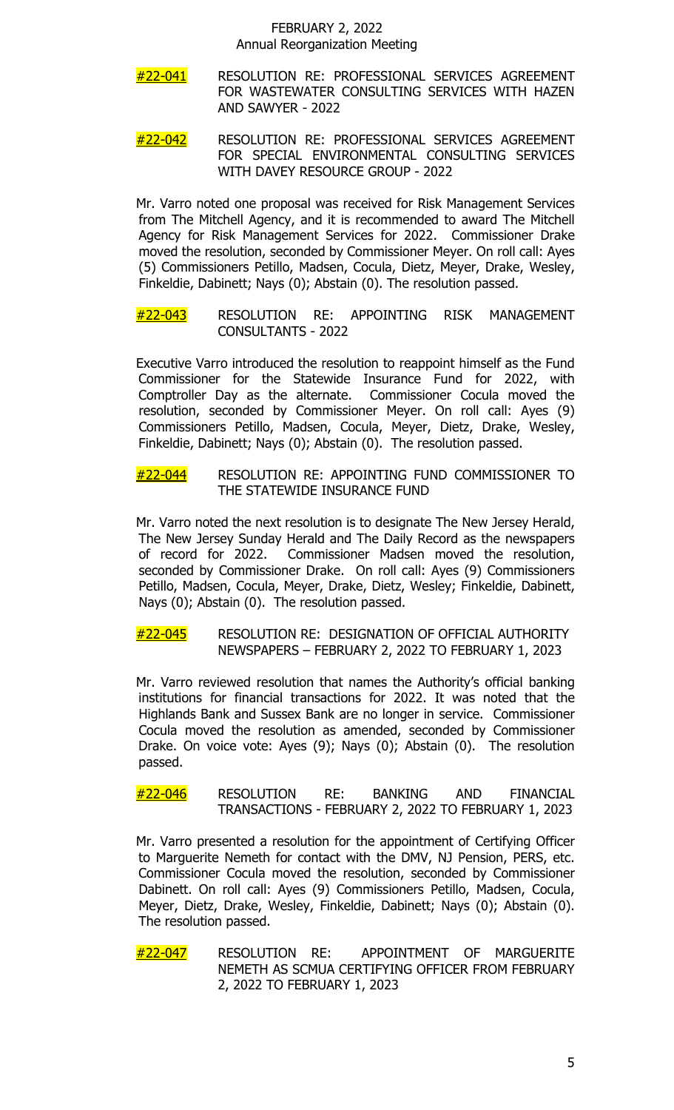- #22-041 RESOLUTION RE: PROFESSIONAL SERVICES AGREEMENT FOR WASTEWATER CONSULTING SERVICES WITH HAZEN AND SAWYER - 2022
- #22-042 RESOLUTION RE: PROFESSIONAL SERVICES AGREEMENT FOR SPECIAL ENVIRONMENTAL CONSULTING SERVICES WITH DAVEY RESOURCE GROUP - 2022

Mr. Varro noted one proposal was received for Risk Management Services from The Mitchell Agency, and it is recommended to award The Mitchell Agency for Risk Management Services for 2022. Commissioner Drake moved the resolution, seconded by Commissioner Meyer. On roll call: Ayes (5) Commissioners Petillo, Madsen, Cocula, Dietz, Meyer, Drake, Wesley, Finkeldie, Dabinett; Nays (0); Abstain (0). The resolution passed.

#22-043 RESOLUTION RE: APPOINTING RISK MANAGEMENT CONSULTANTS - 2022

Executive Varro introduced the resolution to reappoint himself as the Fund Commissioner for the Statewide Insurance Fund for 2022, with Comptroller Day as the alternate. Commissioner Cocula moved the resolution, seconded by Commissioner Meyer. On roll call: Ayes (9) Commissioners Petillo, Madsen, Cocula, Meyer, Dietz, Drake, Wesley, Finkeldie, Dabinett; Nays (0); Abstain (0). The resolution passed.

## #22-044 RESOLUTION RE: APPOINTING FUND COMMISSIONER TO THE STATEWIDE INSURANCE FUND

Mr. Varro noted the next resolution is to designate The New Jersey Herald, The New Jersey Sunday Herald and The Daily Record as the newspapers of record for 2022. Commissioner Madsen moved the resolution, seconded by Commissioner Drake. On roll call: Ayes (9) Commissioners Petillo, Madsen, Cocula, Meyer, Drake, Dietz, Wesley; Finkeldie, Dabinett, Nays (0); Abstain (0). The resolution passed.

## #22-045 RESOLUTION RE: DESIGNATION OF OFFICIAL AUTHORITY NEWSPAPERS – FEBRUARY 2, 2022 TO FEBRUARY 1, 2023

Mr. Varro reviewed resolution that names the Authority's official banking institutions for financial transactions for 2022. It was noted that the Highlands Bank and Sussex Bank are no longer in service. Commissioner Cocula moved the resolution as amended, seconded by Commissioner Drake. On voice vote: Ayes (9); Nays (0); Abstain (0). The resolution passed.

#### #22-046 RESOLUTION RE: BANKING AND FINANCIAL TRANSACTIONS - FEBRUARY 2, 2022 TO FEBRUARY 1, 2023

Mr. Varro presented a resolution for the appointment of Certifying Officer to Marguerite Nemeth for contact with the DMV, NJ Pension, PERS, etc. Commissioner Cocula moved the resolution, seconded by Commissioner Dabinett. On roll call: Ayes (9) Commissioners Petillo, Madsen, Cocula, Meyer, Dietz, Drake, Wesley, Finkeldie, Dabinett; Nays (0); Abstain (0). The resolution passed.

#22-047 RESOLUTION RE: APPOINTMENT OF MARGUERITE NEMETH AS SCMUA CERTIFYING OFFICER FROM FEBRUARY 2, 2022 TO FEBRUARY 1, 2023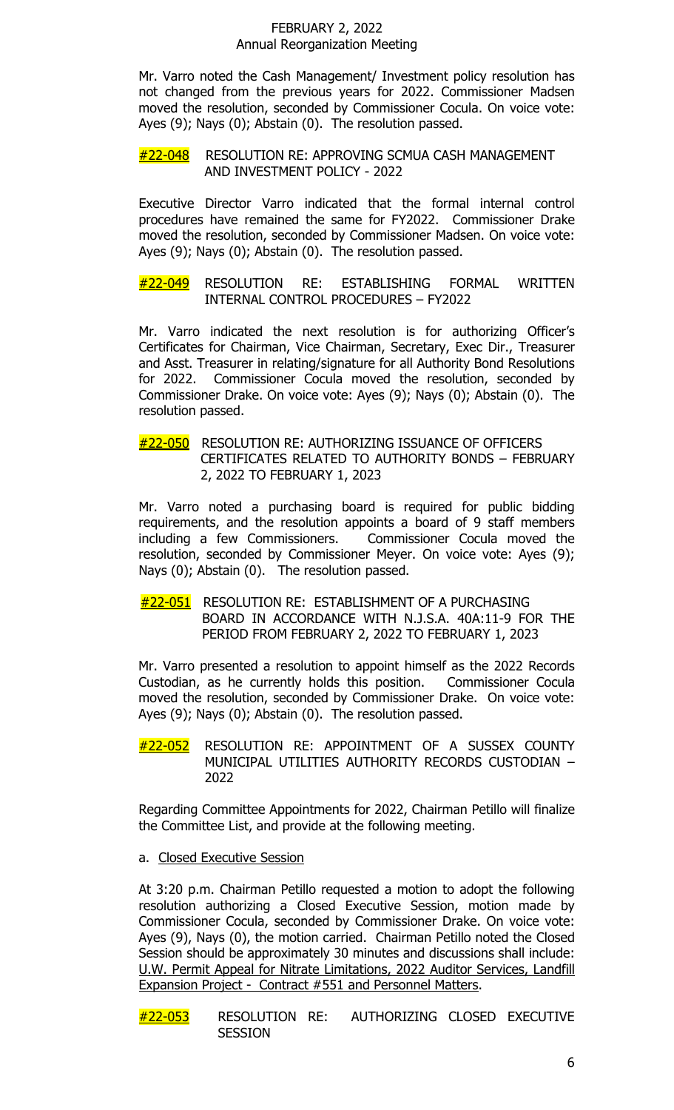Mr. Varro noted the Cash Management/ Investment policy resolution has not changed from the previous years for 2022. Commissioner Madsen moved the resolution, seconded by Commissioner Cocula. On voice vote: Ayes (9); Nays (0); Abstain (0). The resolution passed.

## #22-048 RESOLUTION RE: APPROVING SCMUA CASH MANAGEMENT AND INVESTMENT POLICY - 2022

Executive Director Varro indicated that the formal internal control procedures have remained the same for FY2022. Commissioner Drake moved the resolution, seconded by Commissioner Madsen. On voice vote: Ayes (9); Nays (0); Abstain (0). The resolution passed.

#22-049 RESOLUTION RE: ESTABLISHING FORMAL WRITTEN INTERNAL CONTROL PROCEDURES – FY2022

Mr. Varro indicated the next resolution is for authorizing Officer's Certificates for Chairman, Vice Chairman, Secretary, Exec Dir., Treasurer and Asst. Treasurer in relating/signature for all Authority Bond Resolutions for 2022. Commissioner Cocula moved the resolution, seconded by Commissioner Drake. On voice vote: Ayes (9); Nays (0); Abstain (0). The resolution passed.

## #22-050 RESOLUTION RE: AUTHORIZING ISSUANCE OF OFFICERS CERTIFICATES RELATED TO AUTHORITY BONDS – FEBRUARY 2, 2022 TO FEBRUARY 1, 2023

Mr. Varro noted a purchasing board is required for public bidding requirements, and the resolution appoints a board of 9 staff members including a few Commissioners. Commissioner Cocula moved the resolution, seconded by Commissioner Meyer. On voice vote: Ayes (9); Nays (0); Abstain (0). The resolution passed.

#22-051 RESOLUTION RE: ESTABLISHMENT OF A PURCHASING BOARD IN ACCORDANCE WITH N.J.S.A. 40A:11-9 FOR THE PERIOD FROM FEBRUARY 2, 2022 TO FEBRUARY 1, 2023

Mr. Varro presented a resolution to appoint himself as the 2022 Records Custodian, as he currently holds this position. Commissioner Cocula moved the resolution, seconded by Commissioner Drake. On voice vote: Ayes (9); Nays (0); Abstain (0). The resolution passed.

#22-052 RESOLUTION RE: APPOINTMENT OF A SUSSEX COUNTY MUNICIPAL UTILITIES AUTHORITY RECORDS CUSTODIAN – 2022

Regarding Committee Appointments for 2022, Chairman Petillo will finalize the Committee List, and provide at the following meeting.

a. Closed Executive Session

At 3:20 p.m. Chairman Petillo requested a motion to adopt the following resolution authorizing a Closed Executive Session, motion made by Commissioner Cocula, seconded by Commissioner Drake. On voice vote: Ayes (9), Nays (0), the motion carried. Chairman Petillo noted the Closed Session should be approximately 30 minutes and discussions shall include: U.W. Permit Appeal for Nitrate Limitations, 2022 Auditor Services, Landfill Expansion Project - Contract #551 and Personnel Matters.

#22-053 RESOLUTION RE: AUTHORIZING CLOSED EXECUTIVE **SESSION**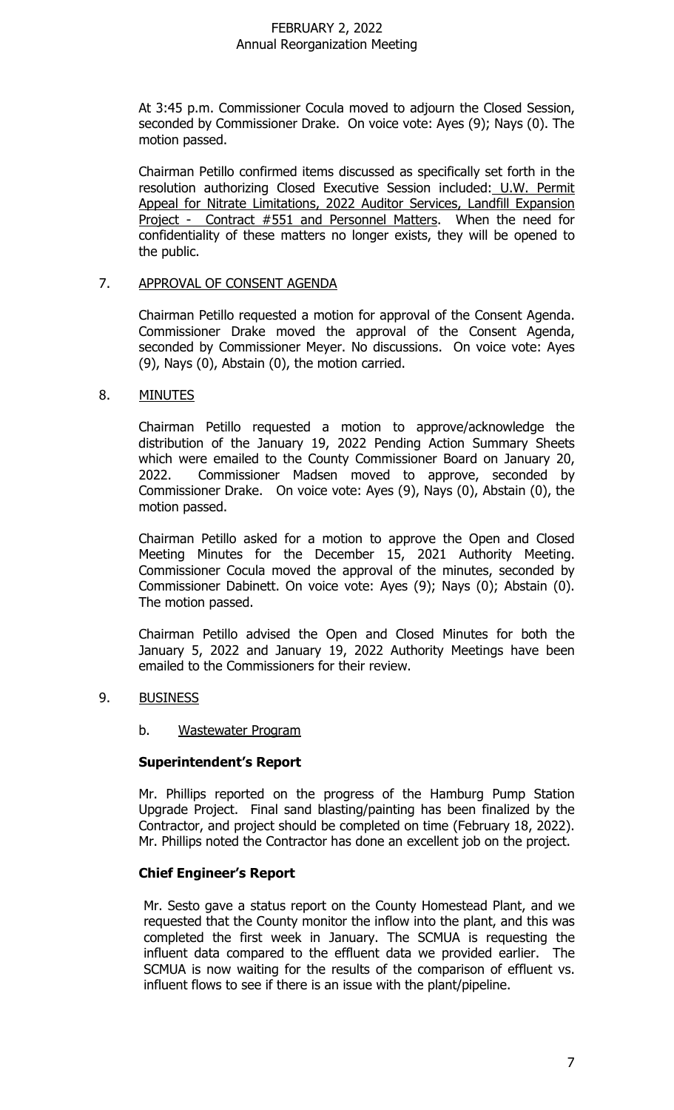At 3:45 p.m. Commissioner Cocula moved to adjourn the Closed Session, seconded by Commissioner Drake. On voice vote: Ayes (9); Nays (0). The motion passed.

Chairman Petillo confirmed items discussed as specifically set forth in the resolution authorizing Closed Executive Session included: U.W. Permit Appeal for Nitrate Limitations, 2022 Auditor Services, Landfill Expansion Project - Contract #551 and Personnel Matters. When the need for confidentiality of these matters no longer exists, they will be opened to the public.

#### 7. APPROVAL OF CONSENT AGENDA

Chairman Petillo requested a motion for approval of the Consent Agenda. Commissioner Drake moved the approval of the Consent Agenda, seconded by Commissioner Meyer. No discussions. On voice vote: Ayes (9), Nays (0), Abstain (0), the motion carried.

## 8. MINUTES

Chairman Petillo requested a motion to approve/acknowledge the distribution of the January 19, 2022 Pending Action Summary Sheets which were emailed to the County Commissioner Board on January 20,<br>2022. Commissioner Madsen moved to approve, seconded by Commissioner Madsen moved to approve, seconded by Commissioner Drake. On voice vote: Ayes (9), Nays (0), Abstain (0), the motion passed.

Chairman Petillo asked for a motion to approve the Open and Closed Meeting Minutes for the December 15, 2021 Authority Meeting. Commissioner Cocula moved the approval of the minutes, seconded by Commissioner Dabinett. On voice vote: Ayes (9); Nays (0); Abstain (0). The motion passed.

Chairman Petillo advised the Open and Closed Minutes for both the January 5, 2022 and January 19, 2022 Authority Meetings have been emailed to the Commissioners for their review.

# 9. BUSINESS

## b. Wastewater Program

## **Superintendent's Report**

Mr. Phillips reported on the progress of the Hamburg Pump Station Upgrade Project. Final sand blasting/painting has been finalized by the Contractor, and project should be completed on time (February 18, 2022). Mr. Phillips noted the Contractor has done an excellent job on the project.

## **Chief Engineer's Report**

Mr. Sesto gave a status report on the County Homestead Plant, and we requested that the County monitor the inflow into the plant, and this was completed the first week in January. The SCMUA is requesting the influent data compared to the effluent data we provided earlier. The SCMUA is now waiting for the results of the comparison of effluent vs. influent flows to see if there is an issue with the plant/pipeline.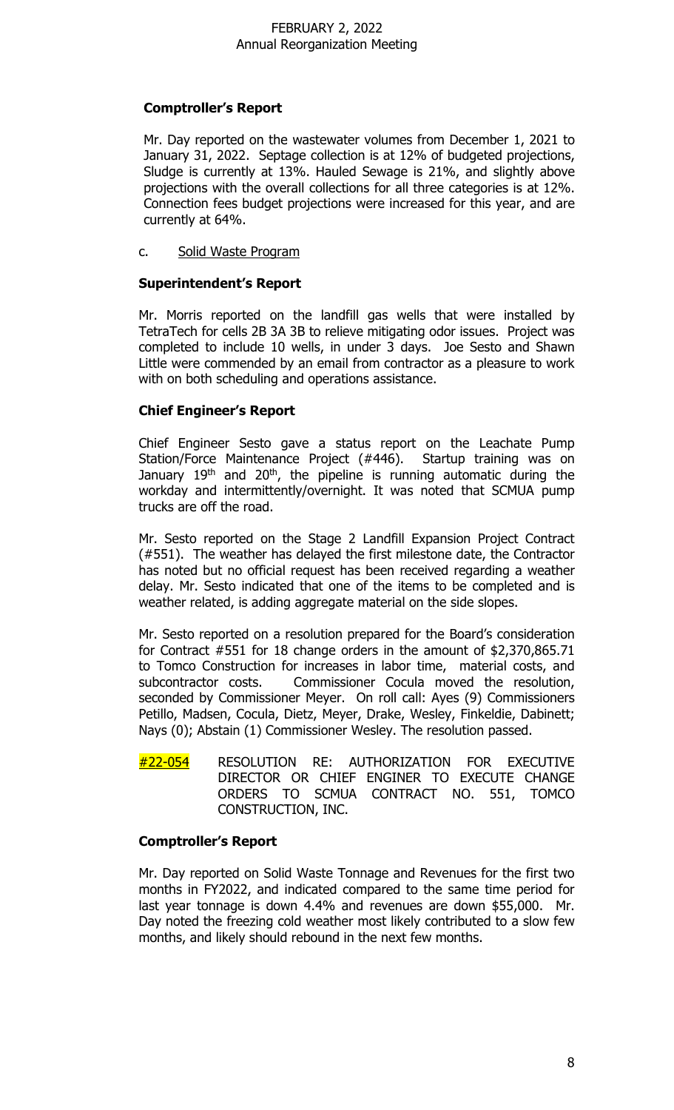# **Comptroller's Report**

Mr. Day reported on the wastewater volumes from December 1, 2021 to January 31, 2022. Septage collection is at 12% of budgeted projections, Sludge is currently at 13%. Hauled Sewage is 21%, and slightly above projections with the overall collections for all three categories is at 12%. Connection fees budget projections were increased for this year, and are currently at 64%.

c. Solid Waste Program

## **Superintendent's Report**

Mr. Morris reported on the landfill gas wells that were installed by TetraTech for cells 2B 3A 3B to relieve mitigating odor issues. Project was completed to include 10 wells, in under 3 days. Joe Sesto and Shawn Little were commended by an email from contractor as a pleasure to work with on both scheduling and operations assistance.

# **Chief Engineer's Report**

Chief Engineer Sesto gave a status report on the Leachate Pump Station/Force Maintenance Project (#446). Startup training was on January 19<sup>th</sup> and 20<sup>th</sup>, the pipeline is running automatic during the workday and intermittently/overnight. It was noted that SCMUA pump trucks are off the road.

Mr. Sesto reported on the Stage 2 Landfill Expansion Project Contract (#551). The weather has delayed the first milestone date, the Contractor has noted but no official request has been received regarding a weather delay. Mr. Sesto indicated that one of the items to be completed and is weather related, is adding aggregate material on the side slopes.

Mr. Sesto reported on a resolution prepared for the Board's consideration for Contract #551 for 18 change orders in the amount of \$2,370,865.71 to Tomco Construction for increases in labor time, material costs, and subcontractor costs. Commissioner Cocula moved the resolution, seconded by Commissioner Meyer. On roll call: Ayes (9) Commissioners Petillo, Madsen, Cocula, Dietz, Meyer, Drake, Wesley, Finkeldie, Dabinett; Nays (0); Abstain (1) Commissioner Wesley. The resolution passed.

#22-054 RESOLUTION RE: AUTHORIZATION FOR EXECUTIVE DIRECTOR OR CHIEF ENGINER TO EXECUTE CHANGE ORDERS TO SCMUA CONTRACT NO. 551, TOMCO CONSTRUCTION, INC.

# **Comptroller's Report**

Mr. Day reported on Solid Waste Tonnage and Revenues for the first two months in FY2022, and indicated compared to the same time period for last year tonnage is down 4.4% and revenues are down \$55,000. Mr. Day noted the freezing cold weather most likely contributed to a slow few months, and likely should rebound in the next few months.